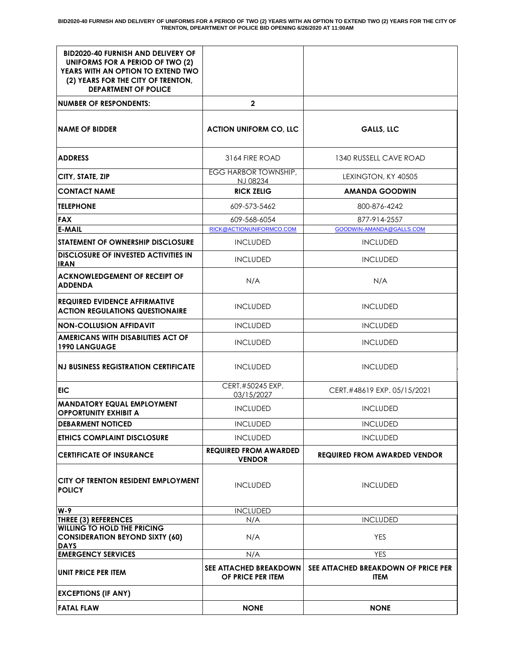| <b>BID2020-40 FURNISH AND DELIVERY OF</b><br>UNIFORMS FOR A PERIOD OF TWO (2)                           |                                               |                                                    |
|---------------------------------------------------------------------------------------------------------|-----------------------------------------------|----------------------------------------------------|
| YEARS WITH AN OPTION TO EXTEND TWO<br>(2) YEARS FOR THE CITY OF TRENTON,<br><b>DEPARTMENT OF POLICE</b> |                                               |                                                    |
| <b>NUMBER OF RESPONDENTS:</b>                                                                           | $\mathbf{2}$                                  |                                                    |
| <b>NAME OF BIDDER</b>                                                                                   | <b>ACTION UNIFORM CO, LLC</b>                 | <b>GALLS, LLC</b>                                  |
| <b>ADDRESS</b>                                                                                          | 3164 FIRE ROAD                                | 1340 RUSSELL CAVE ROAD                             |
| CITY, STATE, ZIP                                                                                        | EGG HARBOR TOWNSHIP,<br>N.J 08234             | LEXINGTON, KY 40505                                |
| <b>CONTACT NAME</b>                                                                                     | <b>RICK ZELIG</b>                             | <b>AMANDA GOODWIN</b>                              |
| <b>TELEPHONE</b>                                                                                        | 609-573-5462                                  | 800-876-4242                                       |
| <b>FAX</b>                                                                                              | 609-568-6054                                  | 877-914-2557                                       |
| <b>E-MAIL</b>                                                                                           | RICK@ACTIONUNIFORMCO.COM                      | GOODWIN-AMANDA@GALLS.COM                           |
| <b>STATEMENT OF OWNERSHIP DISCLOSURE</b>                                                                | <b>INCLUDED</b>                               | <b>INCLUDED</b>                                    |
| <b>DISCLOSURE OF INVESTED ACTIVITIES IN</b><br><b>IRAN</b>                                              | <b>INCLUDED</b>                               | <b>INCLUDED</b>                                    |
| <b>ACKNOWLEDGEMENT OF RECEIPT OF</b><br><b>ADDENDA</b>                                                  | N/A                                           | N/A                                                |
| <b>REQUIRED EVIDENCE AFFIRMATIVE</b><br><b>ACTION REGULATIONS QUESTIONAIRE</b>                          | <b>INCLUDED</b>                               | <b>INCLUDED</b>                                    |
| <b>NON-COLLUSION AFFIDAVIT</b>                                                                          | <b>INCLUDED</b>                               | <b>INCLUDED</b>                                    |
| AMERICANS WITH DISABILITIES ACT OF<br><b>1990 LANGUAGE</b>                                              | <b>INCLUDED</b>                               | <b>INCLUDED</b>                                    |
| <b>NJ BUSINESS REGISTRATION CERTIFICATE</b>                                                             | <b>INCLUDED</b>                               | <b>INCLUDED</b>                                    |
| EIC                                                                                                     | CERT.#50245 EXP.<br>03/15/2027                | CERT.#48619 EXP. 05/15/2021                        |
| <b>MANDATORY EQUAL EMPLOYMENT</b><br><b>OPPORTUNITY EXHIBIT A</b>                                       | <b>INCLUDED</b>                               | <b>INCLUDED</b>                                    |
| <b>DEBARMENT NOTICED</b>                                                                                | <b>INCLUDED</b>                               | <b>INCLUDED</b>                                    |
| <b>ETHICS COMPLAINT DISCLOSURE</b>                                                                      | <b>INCLUDED</b>                               | <b>INCLUDED</b>                                    |
| <b>CERTIFICATE OF INSURANCE</b>                                                                         | <b>REQUIRED FROM AWARDED</b><br><b>VENDOR</b> | <b>REQUIRED FROM AWARDED VENDOR</b>                |
| CITY OF TRENTON RESIDENT EMPLOYMENT<br><b>POLICY</b>                                                    | <b>INCLUDED</b>                               | <b>INCLUDED</b>                                    |
| W-9                                                                                                     | <b>INCLUDED</b>                               |                                                    |
| <b>THREE (3) REFERENCES</b>                                                                             | N/A                                           | <b>INCLUDED</b>                                    |
| <b>WILLING TO HOLD THE PRICING</b><br><b>CONSIDERATION BEYOND SIXTY (60)</b><br><b>DAYS</b>             | N/A                                           | <b>YES</b>                                         |
| <b>EMERGENCY SERVICES</b>                                                                               | N/A                                           | <b>YES</b>                                         |
| <b>UNIT PRICE PER ITEM</b>                                                                              | SEE ATTACHED BREAKDOWN<br>OF PRICE PER ITEM   | SEE ATTACHED BREAKDOWN OF PRICE PER<br><b>ITEM</b> |
| <b>EXCEPTIONS (IF ANY)</b>                                                                              |                                               |                                                    |
| <b>FATAL FLAW</b>                                                                                       | <b>NONE</b>                                   | <b>NONE</b>                                        |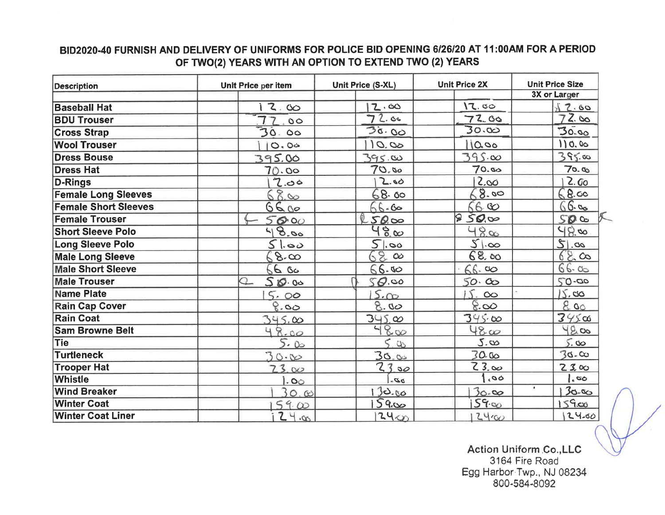## BID2020-40 FURNISH AND DELIVERY OF UNIFORMS FOR POLICE BID OPENING 6/26/20 AT 11:00AM FOR A PERIOD OF TWO(2) YEARS WITH AN OPTION TO EXTEND TWO (2) YEARS

| <b>Description</b>          | Unit Price per item | Unit Price (S-XL)        | <b>Unit Price 2X</b> | <b>Unit Price Size</b> |
|-----------------------------|---------------------|--------------------------|----------------------|------------------------|
|                             |                     |                          |                      | 3X or Larger           |
| <b>Baseball Hat</b>         | 12.00               | 2.60                     | 12.00                | 12.60                  |
| <b>BDU Trouser</b>          | $\circ$             | 72.00                    | 72.00                | 72.00                  |
| <b>Cross Strap</b>          | 30.00               | 30.00                    | 30.00                | 30.00                  |
| <b>Wool Trouser</b>         | O.04                | 10.00                    | 10.00                | 110.00                 |
| <b>Dress Bouse</b>          | 395.00              | 395.80                   | $395\,\infty$        | 395.00                 |
| <b>Dress Hat</b>            | 70.00               | 70.80                    | 70.00                | 70.90                  |
| <b>D-Rings</b>              | 7.00                | 2.60                     | 2.00                 | 2.60                   |
| <b>Female Long Sleeves</b>  | 68.00               | 68.00                    | 8.00                 | 68.00                  |
| <b>Female Short Sleeves</b> | 6600                | 66.60                    | 660                  | $66 - 66$              |
| <b>Female Trouser</b>       | 5000                | 500                      | 850,00               | 500                    |
| <b>Short Sleeve Polo</b>    | 48.00               | 480                      | 48.00                | 980                    |
| <b>Long Sleeve Polo</b>     | 51.00               | 5.00                     | 51.00                | 20.12                  |
| <b>Male Long Sleeve</b>     | 68.00               | $68 \text{ } \infty$     | 68.00                | 68.00                  |
| <b>Male Short Sleeve</b>    | 6680                | 66.80                    | 66.00                | 66.05                  |
| <b>Male Trouser</b>         | Q<br>500            | SO.00                    | 50.00                | 50.00                  |
| <b>Name Plate</b>           | 5.00                | 5.00                     | 15.<br>$\infty$      | 15.00                  |
| <b>Rain Cap Cover</b>       | 8.00                | 8.80                     | 8.00                 | 800                    |
| Rain Coat                   | 345.00              | 345,00                   | $345\omega$          | $345\alpha$            |
| <b>Sam Browne Belt</b>      | 48.00               | $48\infty$               | $48\omega$           | 4200                   |
| Tie                         | 5.00                | 5.00                     | 5.00                 | 5.00                   |
| <b>Turtleneck</b>           | 300                 | 30.05                    | 30.00                | 30.00                  |
| <b>Trooper Hat</b>          | 23.00               | 2300                     | 23.00                | 2300                   |
| Whistle                     | .00.                | $\partial \mathcal{D}$ . | 60,                  | $\infty$ , $\vert$     |
| <b>Wind Breaker</b>         | 30.00               | 130.00                   | 30.00                | $\bullet$<br>30.00     |
| <b>Winter Coat</b>          | 5900                | 5900                     | 5900                 | $159$ co               |
| <b>Winter Coat Liner</b>    | $24\alpha$          | 2400                     | 2400                 | 24.00                  |

Action Uniform Co., LLC 3164 Fire Road Egg Harbor Twp., NJ 08234<br>800-584-8092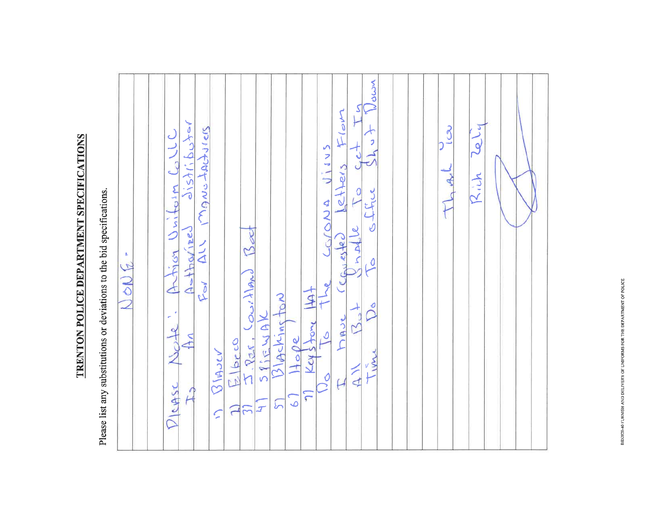TRENTON POLICE DEPARTMENT SPECIFICATIONS

Please list any substitutions or deviations to the bid specifications.

| NONG- | Mown<br>থ<br>letters Flom<br>ナット<br>$J_{15}$<br>au mondeur<br>Artica Uniform Coll<br>JIJVS<br>office<br>$\overline{L}$<br>LODUA<br>Cenested<br>Asthorized<br>Beet<br>$\overline{0}$<br>$I. \frac{2\pi}{124}.$ Courtland<br>Roy<br>The<br>$\frac{1100e}{k}$<br>BIACKINSTON<br>$\delta$<br>$\mathbb{R}^d$<br>$\frac{1}{2}$<br>SPEWAK<br>DAV<br>DICASE Note<br>$\overline{\mathcal{L}}$<br>$H_{\Lambda}$<br>E bra<br>$\Omega$ $M$<br>Time<br>$\overline{A}$<br>$\frac{1}{2}$<br>$\overline{\mathcal{L}}$<br>$\hat{A}$<br>$\bigcap$<br>$\tilde{\bullet}$<br>5<br>$\sum$<br>$\mathcal{I}$<br>$\overline{C}$<br>$\mathcal{E}$ | بانكما<br>150<br>TL Arl<br>Rich |
|-------|-------------------------------------------------------------------------------------------------------------------------------------------------------------------------------------------------------------------------------------------------------------------------------------------------------------------------------------------------------------------------------------------------------------------------------------------------------------------------------------------------------------------------------------------------------------------------------------------------------------------------|---------------------------------|
|-------|-------------------------------------------------------------------------------------------------------------------------------------------------------------------------------------------------------------------------------------------------------------------------------------------------------------------------------------------------------------------------------------------------------------------------------------------------------------------------------------------------------------------------------------------------------------------------------------------------------------------------|---------------------------------|